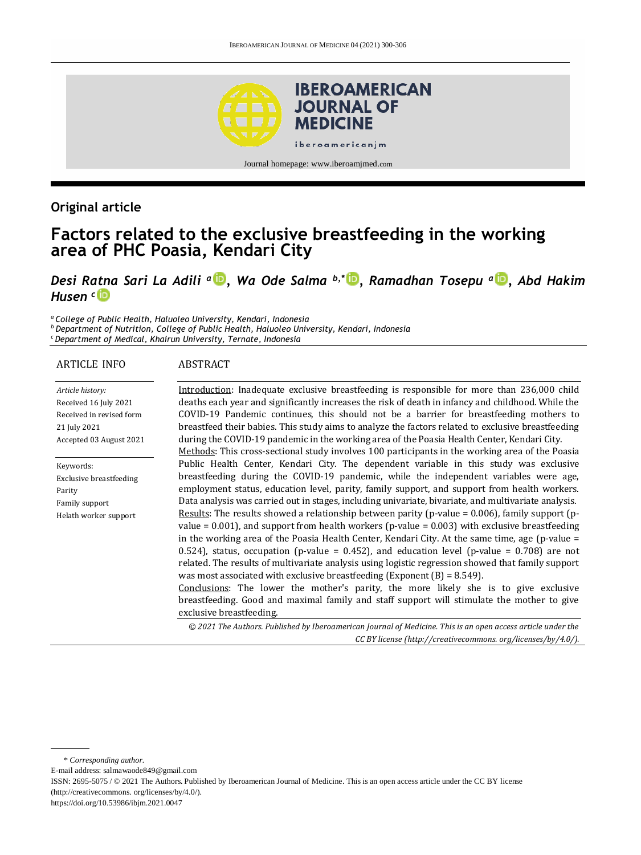

## **Original article**

# **Factors related to the exclusive breastfeeding in the working area of PHC Poasia, Kendari City**

*Desi Ratna Sari La Adili <sup>a</sup> , Wa Ode Salma b,\* [,](http://orcid.org/0000-0002-5843-3760) Ramadhan Tosepu <sup>a</sup> [,](http://orcid.org/0000-0002-6092-9992) Abd Hakim Husen <sup>c</sup>*

*<sup>a</sup>College of Public Health, Haluoleo University, Kendari, Indonesia*

*<sup>b</sup> Department of Nutrition, College of Public Health, Haluoleo University, Kendari, Indonesia*

*<sup>c</sup> Department of Medical, Khairun University, Ternate, Indonesia*

#### ARTICLE INFO

#### ABSTRACT

*Article history:* Received 16 July 2021 Received in revised form 21 July 2021 Accepted 03 August 2021

Keywords: Exclusive breastfeeding Parity Family support Helath worker support

Introduction: Inadequate exclusive breastfeeding is responsible for more than 236,000 child deaths each year and significantly increases the risk of death in infancy and childhood. While the COVID-19 Pandemic continues, this should not be a barrier for breastfeeding mothers to breastfeed their babies. This study aims to analyze the factors related to exclusive breastfeeding during the COVID-19 pandemic in the working area of the Poasia Health Center, Kendari City. Methods: This cross-sectional study involves 100 participants in the working area of the Poasia Public Health Center, Kendari City. The dependent variable in this study was exclusive breastfeeding during the COVID-19 pandemic, while the independent variables were age, employment status, education level, parity, family support, and support from health workers. Data analysis was carried out in stages, including univariate, bivariate, and multivariate analysis. Results: The results showed a relationship between parity (p-value =  $0.006$ ), family support (pvalue =  $0.001$ ), and support from health workers (p-value =  $0.003$ ) with exclusive breastfeeding in the working area of the Poasia Health Center, Kendari City. At the same time, age (p-value = 0.524), status, occupation (p-value = 0.452), and education level (p-value = 0.708) are not related. The results of multivariate analysis using logistic regression showed that family support was most associated with exclusive breastfeeding (Exponent  $(B) = 8.549$ ). Conclusions: The lower the mother's parity, the more likely she is to give exclusive breastfeeding. Good and maximal family and staff support will stimulate the mother to give exclusive breastfeeding.

*© 2021 The Authors. Published by Iberoamerican Journal of Medicine. This is an open access article under the CC BY license (http:/[/creativecommons. org/licenses/by/4.0/\)](https://creativecommons.org/licenses/by/4.0/).*

\* *Corresponding author.*

E-mail address: [salmawaode849@gmail.com](mailto:salmawaode849@gmail.com)

ISSN: 2695-5075 / © 2021 The Authors. Published by Iberoamerican Journal of Medicine. This is an open access article under the CC BY license (http:/[/creativecommons. org/licenses/by/4.0/\).](https://creativecommons.org/licenses/by/4.0/)

<https://doi.org/10.53986/ibjm.2021.0047>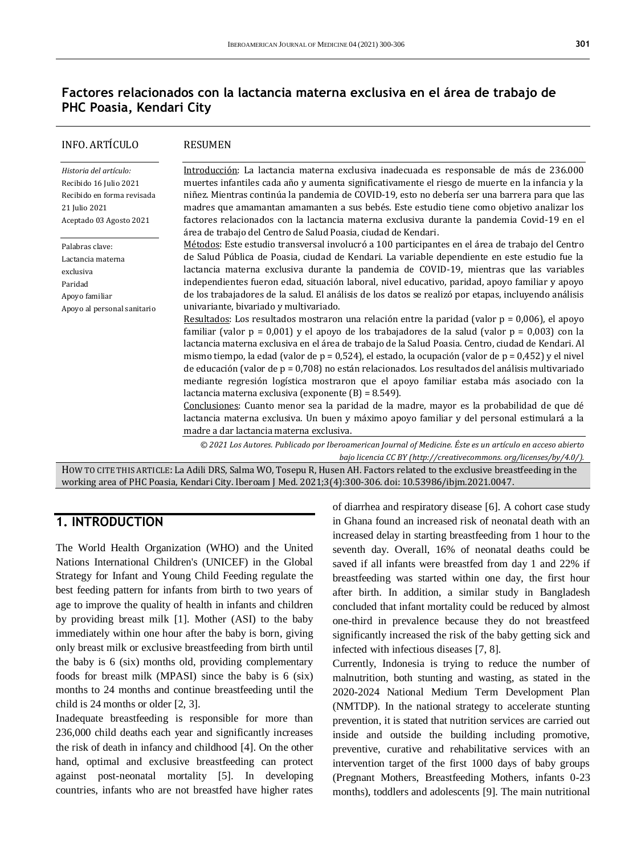# **Factores relacionados con la lactancia materna exclusiva en el área de trabajo de PHC Poasia, Kendari City**

| INFO. ARTÍCULO                                                                                                             | <b>RESUMEN</b>                                                                                                                                                                                                                                                                                                                                                                                                                                                                                                                                                                                                                                                                                                                                                                                                                                                                          |  |  |  |
|----------------------------------------------------------------------------------------------------------------------------|-----------------------------------------------------------------------------------------------------------------------------------------------------------------------------------------------------------------------------------------------------------------------------------------------------------------------------------------------------------------------------------------------------------------------------------------------------------------------------------------------------------------------------------------------------------------------------------------------------------------------------------------------------------------------------------------------------------------------------------------------------------------------------------------------------------------------------------------------------------------------------------------|--|--|--|
| Historia del artículo:<br>Recibido 16 Julio 2021<br>Recibido en forma revisada<br>21 Julio 2021<br>Aceptado 03 Agosto 2021 | Introducción: La lactancia materna exclusiva inadecuada es responsable de más de 236.000<br>muertes infantiles cada año y aumenta significativamente el riesgo de muerte en la infancia y la<br>niñez. Mientras continúa la pandemia de COVID-19, esto no debería ser una barrera para que las<br>madres que amamantan amamanten a sus bebés. Este estudio tiene como objetivo analizar los<br>factores relacionados con la lactancia materna exclusiva durante la pandemia Covid-19 en el<br>área de trabajo del Centro de Salud Poasia, ciudad de Kendari.                                                                                                                                                                                                                                                                                                                            |  |  |  |
| Palabras clave:<br>Lactancia materna<br>exclusiva<br>Paridad<br>Apoyo familiar<br>Apoyo al personal sanitario              | Métodos: Este estudio transversal involucró a 100 participantes en el área de trabajo del Centro<br>de Salud Pública de Poasia, ciudad de Kendari. La variable dependiente en este estudio fue la<br>lactancia materna exclusiva durante la pandemia de COVID-19, mientras que las variables<br>independientes fueron edad, situación laboral, nivel educativo, paridad, apoyo familiar y apoyo<br>de los trabajadores de la salud. El análisis de los datos se realizó por etapas, incluyendo análisis<br>univariante, bivariado y multivariado.                                                                                                                                                                                                                                                                                                                                       |  |  |  |
|                                                                                                                            | Resultados: Los resultados mostraron una relación entre la paridad (valor $p = 0.006$ ), el apoyo<br>familiar (valor $p = 0.001$ ) y el apoyo de los trabajadores de la salud (valor $p = 0.003$ ) con la<br>lactancia materna exclusiva en el área de trabajo de la Salud Poasia. Centro, ciudad de Kendari. Al<br>mismo tiempo, la edad (valor de $p = 0.524$ ), el estado, la ocupación (valor de $p = 0.452$ ) y el nivel<br>de educación (valor de $p = 0.708$ ) no están relacionados. Los resultados del análisis multivariado<br>mediante regresión logística mostraron que el apoyo familiar estaba más asociado con la<br>lactancia materna exclusiva (exponente $(B) = 8.549$ ).<br>Conclusiones: Cuanto menor sea la paridad de la madre, mayor es la probabilidad de que dé<br>lactancia materna exclusiva. Un buen y máximo apoyo familiar y del personal estimulará a la |  |  |  |
|                                                                                                                            | madre a dar lactancia materna exclusiva.                                                                                                                                                                                                                                                                                                                                                                                                                                                                                                                                                                                                                                                                                                                                                                                                                                                |  |  |  |
|                                                                                                                            | © 2021 Los Autores. Publicado por Iberoamerican Journal of Medicine. Éste es un artículo en acceso abierto<br>bajo licencia CC BY (http://creativecommons.org/licenses/by/4.0/).                                                                                                                                                                                                                                                                                                                                                                                                                                                                                                                                                                                                                                                                                                        |  |  |  |
|                                                                                                                            | HOW TO CITE THIS ARTICLE: La Adili DRS, Salma WO, Tosepu R, Husen AH. Factors related to the exclusive breastfeeding in the                                                                                                                                                                                                                                                                                                                                                                                                                                                                                                                                                                                                                                                                                                                                                             |  |  |  |
|                                                                                                                            | working area of PHC Poasia, Kendari City. Iberoam J Med. 2021;3(4):300-306. doi: 10.53986/ibjm.2021.0047.                                                                                                                                                                                                                                                                                                                                                                                                                                                                                                                                                                                                                                                                                                                                                                               |  |  |  |

### **1. INTRODUCTION**

The World Health Organization (WHO) and the United Nations International Children's (UNICEF) in the Global Strategy for Infant and Young Child Feeding regulate the best feeding pattern for infants from birth to two years of age to improve the quality of health in infants and children by providing breast milk [1]. Mother (ASI) to the baby immediately within one hour after the baby is born, giving only breast milk or exclusive breastfeeding from birth until the baby is 6 (six) months old, providing complementary foods for breast milk (MPASI) since the baby is 6 (six) months to 24 months and continue breastfeeding until the child is 24 months or older [2, 3].

Inadequate breastfeeding is responsible for more than 236,000 child deaths each year and significantly increases the risk of death in infancy and childhood [4]. On the other hand, optimal and exclusive breastfeeding can protect against post-neonatal mortality [5]. In developing countries, infants who are not breastfed have higher rates

of diarrhea and respiratory disease [6]. A cohort case study in Ghana found an increased risk of neonatal death with an increased delay in starting breastfeeding from 1 hour to the seventh day. Overall, 16% of neonatal deaths could be saved if all infants were breastfed from day 1 and 22% if breastfeeding was started within one day, the first hour after birth. In addition, a similar study in Bangladesh concluded that infant mortality could be reduced by almost one-third in prevalence because they do not breastfeed significantly increased the risk of the baby getting sick and infected with infectious diseases [7, 8].

Currently, Indonesia is trying to reduce the number of malnutrition, both stunting and wasting, as stated in the 2020-2024 National Medium Term Development Plan (NMTDP). In the national strategy to accelerate stunting prevention, it is stated that nutrition services are carried out inside and outside the building including promotive, preventive, curative and rehabilitative services with an intervention target of the first 1000 days of baby groups (Pregnant Mothers, Breastfeeding Mothers, infants 0-23 months), toddlers and adolescents [9]. The main nutritional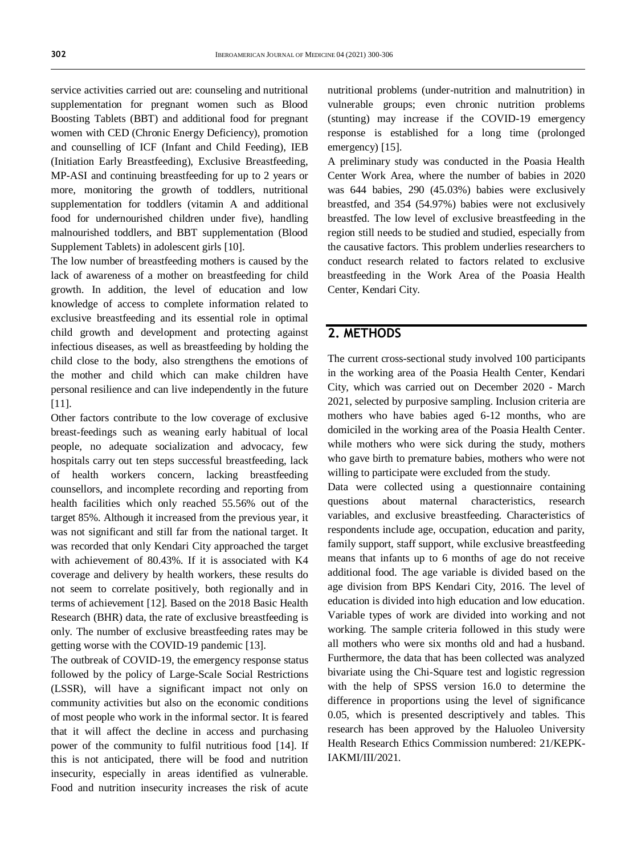service activities carried out are: counseling and nutritional supplementation for pregnant women such as Blood Boosting Tablets (BBT) and additional food for pregnant women with CED (Chronic Energy Deficiency), promotion and counselling of ICF (Infant and Child Feeding), IEB (Initiation Early Breastfeeding), Exclusive Breastfeeding, MP-ASI and continuing breastfeeding for up to 2 years or more, monitoring the growth of toddlers, nutritional supplementation for toddlers (vitamin A and additional food for undernourished children under five), handling malnourished toddlers, and BBT supplementation (Blood Supplement Tablets) in adolescent girls [10].

The low number of breastfeeding mothers is caused by the lack of awareness of a mother on breastfeeding for child growth. In addition, the level of education and low knowledge of access to complete information related to exclusive breastfeeding and its essential role in optimal child growth and development and protecting against infectious diseases, as well as breastfeeding by holding the child close to the body, also strengthens the emotions of the mother and child which can make children have personal resilience and can live independently in the future [11].

Other factors contribute to the low coverage of exclusive breast-feedings such as weaning early habitual of local people, no adequate socialization and advocacy, few hospitals carry out ten steps successful breastfeeding, lack of health workers concern, lacking breastfeeding counsellors, and incomplete recording and reporting from health facilities which only reached 55.56% out of the target 85%. Although it increased from the previous year, it was not significant and still far from the national target. It was recorded that only Kendari City approached the target with achievement of 80.43%. If it is associated with K4 coverage and delivery by health workers, these results do not seem to correlate positively, both regionally and in terms of achievement [12]. Based on the 2018 Basic Health Research (BHR) data, the rate of exclusive breastfeeding is only. The number of exclusive breastfeeding rates may be getting worse with the COVID-19 pandemic [13].

The outbreak of COVID-19, the emergency response status followed by the policy of Large-Scale Social Restrictions (LSSR), will have a significant impact not only on community activities but also on the economic conditions of most people who work in the informal sector. It is feared that it will affect the decline in access and purchasing power of the community to fulfil nutritious food [14]. If this is not anticipated, there will be food and nutrition insecurity, especially in areas identified as vulnerable. Food and nutrition insecurity increases the risk of acute

nutritional problems (under-nutrition and malnutrition) in vulnerable groups; even chronic nutrition problems (stunting) may increase if the COVID-19 emergency response is established for a long time (prolonged emergency) [15].

A preliminary study was conducted in the Poasia Health Center Work Area, where the number of babies in 2020 was 644 babies, 290 (45.03%) babies were exclusively breastfed, and 354 (54.97%) babies were not exclusively breastfed. The low level of exclusive breastfeeding in the region still needs to be studied and studied, especially from the causative factors. This problem underlies researchers to conduct research related to factors related to exclusive breastfeeding in the Work Area of the Poasia Health Center, Kendari City.

#### **2. METHODS**

The current cross-sectional study involved 100 participants in the working area of the Poasia Health Center, Kendari City, which was carried out on December 2020 - March 2021, selected by purposive sampling. Inclusion criteria are mothers who have babies aged 6-12 months, who are domiciled in the working area of the Poasia Health Center. while mothers who were sick during the study, mothers who gave birth to premature babies, mothers who were not willing to participate were excluded from the study.

Data were collected using a questionnaire containing questions about maternal characteristics, research variables, and exclusive breastfeeding. Characteristics of respondents include age, occupation, education and parity, family support, staff support, while exclusive breastfeeding means that infants up to 6 months of age do not receive additional food. The age variable is divided based on the age division from BPS Kendari City, 2016. The level of education is divided into high education and low education. Variable types of work are divided into working and not working. The sample criteria followed in this study were all mothers who were six months old and had a husband. Furthermore, the data that has been collected was analyzed bivariate using the Chi-Square test and logistic regression with the help of SPSS version 16.0 to determine the difference in proportions using the level of significance 0.05, which is presented descriptively and tables. This research has been approved by the Haluoleo University Health Research Ethics Commission numbered: 21/KEPK-IAKMI/III/2021.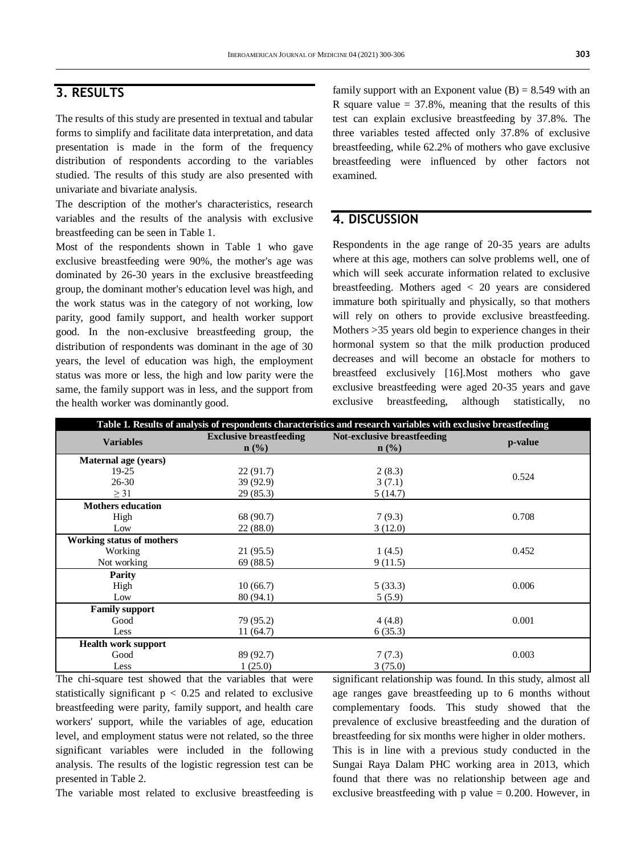### **3. RESULTS**

The results of this study are presented in textual and tabular forms to simplify and facilitate data interpretation, and data presentation is made in the form of the frequency distribution of respondents according to the variables studied. The results of this study are also presented with univariate and bivariate analysis.

The description of the mother's characteristics, research variables and the results of the analysis with exclusive breastfeeding can be seen in Table 1.

Most of the respondents shown in Table 1 who gave exclusive breastfeeding were 90%, the mother's age was dominated by 26-30 years in the exclusive breastfeeding group, the dominant mother's education level was high, and the work status was in the category of not working, low parity, good family support, and health worker support good. In the non-exclusive breastfeeding group, the distribution of respondents was dominant in the age of 30 years, the level of education was high, the employment status was more or less, the high and low parity were the same, the family support was in less, and the support from the health worker was dominantly good.

family support with an Exponent value  $(B) = 8.549$  with an R square value  $= 37.8\%$ , meaning that the results of this test can explain exclusive breastfeeding by 37.8%. The three variables tested affected only 37.8% of exclusive breastfeeding, while 62.2% of mothers who gave exclusive breastfeeding were influenced by other factors not examined.

### **4. DISCUSSION**

Respondents in the age range of 20-35 years are adults where at this age, mothers can solve problems well, one of which will seek accurate information related to exclusive breastfeeding. Mothers aged < 20 years are considered immature both spiritually and physically, so that mothers will rely on others to provide exclusive breastfeeding. Mothers >35 years old begin to experience changes in their hormonal system so that the milk production produced decreases and will become an obstacle for mothers to breastfeed exclusively [16].Most mothers who gave exclusive breastfeeding were aged 20-35 years and gave exclusive breastfeeding, although statistically, no

| Table 1. Results of analysis of respondents characteristics and research variables with exclusive breastfeeding |                                                    |                                                 |         |  |  |  |  |
|-----------------------------------------------------------------------------------------------------------------|----------------------------------------------------|-------------------------------------------------|---------|--|--|--|--|
| <b>Variables</b>                                                                                                | <b>Exclusive breastfeeding</b><br>$\mathbf{n}(\%)$ | Not-exclusive breastfeeding<br>$\mathbf{n}(\%)$ | p-value |  |  |  |  |
| Maternal age (years)                                                                                            |                                                    |                                                 |         |  |  |  |  |
| $19-25$                                                                                                         | 22(91.7)                                           | 2(8.3)                                          | 0.524   |  |  |  |  |
| $26 - 30$                                                                                                       | 39(92.9)                                           | 3(7.1)                                          |         |  |  |  |  |
| $\geq$ 31                                                                                                       | 29(85.3)                                           | 5(14.7)                                         |         |  |  |  |  |
| <b>Mothers education</b>                                                                                        |                                                    |                                                 |         |  |  |  |  |
| High                                                                                                            | 68 (90.7)                                          | 7(9.3)                                          | 0.708   |  |  |  |  |
| Low                                                                                                             | 22(88.0)                                           | 3(12.0)                                         |         |  |  |  |  |
| Working status of mothers                                                                                       |                                                    |                                                 |         |  |  |  |  |
| Working                                                                                                         | 21(95.5)                                           | 1(4.5)                                          | 0.452   |  |  |  |  |
| Not working                                                                                                     | 69 (88.5)                                          | 9(11.5)                                         |         |  |  |  |  |
| Parity                                                                                                          |                                                    |                                                 |         |  |  |  |  |
| High                                                                                                            | 10(66.7)                                           | 5(33.3)                                         | 0.006   |  |  |  |  |
| Low                                                                                                             | 80(94.1)                                           | 5(5.9)                                          |         |  |  |  |  |
| <b>Family support</b>                                                                                           |                                                    |                                                 |         |  |  |  |  |
| Good                                                                                                            | 79 (95.2)                                          | 4(4.8)                                          | 0.001   |  |  |  |  |
| Less                                                                                                            | 11(64.7)                                           | 6(35.3)                                         |         |  |  |  |  |
| <b>Health work support</b>                                                                                      |                                                    |                                                 |         |  |  |  |  |
| Good                                                                                                            | 89 (92.7)                                          | 7(7.3)                                          | 0.003   |  |  |  |  |
| Less                                                                                                            | 1(25.0)                                            | 3(75.0)                                         |         |  |  |  |  |

The chi-square test showed that the variables that were statistically significant  $p < 0.25$  and related to exclusive breastfeeding were parity, family support, and health care workers' support, while the variables of age, education level, and employment status were not related, so the three significant variables were included in the following analysis. The results of the logistic regression test can be presented in Table 2.

significant relationship was found. In this study, almost all age ranges gave breastfeeding up to 6 months without complementary foods. This study showed that the prevalence of exclusive breastfeeding and the duration of breastfeeding for six months were higher in older mothers.

This is in line with a previous study conducted in the Sungai Raya Dalam PHC working area in 2013, which found that there was no relationship between age and exclusive breastfeeding with  $p$  value  $= 0.200$ . However, in

The variable most related to exclusive breastfeeding is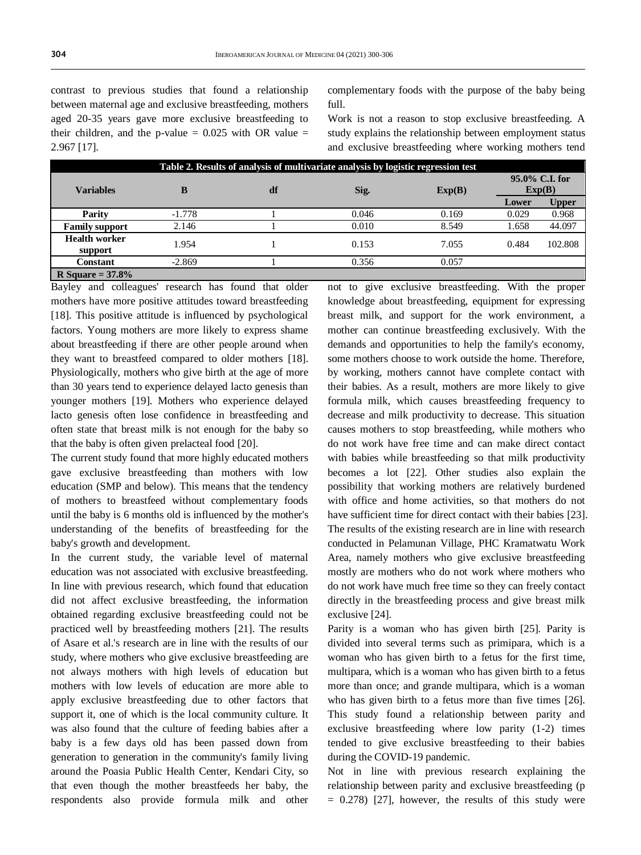contrast to previous studies that found a relationship between maternal age and exclusive breastfeeding, mothers aged 20-35 years gave more exclusive breastfeeding to their children, and the p-value  $= 0.025$  with OR value  $=$ 2.967 [17].

complementary foods with the purpose of the baby being full.

Work is not a reason to stop exclusive breastfeeding. A study explains the relationship between employment status and exclusive breastfeeding where working mothers tend

| Table 2. Results of analysis of multivariate analysis by logistic regression test |          |    |       |        |                          |              |  |  |
|-----------------------------------------------------------------------------------|----------|----|-------|--------|--------------------------|--------------|--|--|
| <b>Variables</b>                                                                  | B        | df | Sig.  | Exp(B) | 95.0% C.I. for<br>Exp(B) |              |  |  |
|                                                                                   |          |    |       |        | Lower                    | <b>Upper</b> |  |  |
| Parity                                                                            | $-1.778$ |    | 0.046 | 0.169  | 0.029                    | 0.968        |  |  |
| <b>Family support</b>                                                             | 2.146    |    | 0.010 | 8.549  | 1.658                    | 44.097       |  |  |
| <b>Health worker</b><br>support                                                   | 1.954    |    | 0.153 | 7.055  | 0.484                    | 102.808      |  |  |
| Constant                                                                          | $-2.869$ |    | 0.356 | 0.057  |                          |              |  |  |
| R Square = $37.8\%$                                                               |          |    |       |        |                          |              |  |  |

Bayley and colleagues' research has found that older mothers have more positive attitudes toward breastfeeding [18]. This positive attitude is influenced by psychological factors. Young mothers are more likely to express shame about breastfeeding if there are other people around when they want to breastfeed compared to older mothers [18]. Physiologically, mothers who give birth at the age of more than 30 years tend to experience delayed lacto genesis than younger mothers [19]. Mothers who experience delayed lacto genesis often lose confidence in breastfeeding and often state that breast milk is not enough for the baby so that the baby is often given prelacteal food [20].

The current study found that more highly educated mothers gave exclusive breastfeeding than mothers with low education (SMP and below). This means that the tendency of mothers to breastfeed without complementary foods until the baby is 6 months old is influenced by the mother's understanding of the benefits of breastfeeding for the baby's growth and development.

In the current study, the variable level of maternal education was not associated with exclusive breastfeeding. In line with previous research, which found that education did not affect exclusive breastfeeding, the information obtained regarding exclusive breastfeeding could not be practiced well by breastfeeding mothers [21]. The results of Asare et al.'s research are in line with the results of our study, where mothers who give exclusive breastfeeding are not always mothers with high levels of education but mothers with low levels of education are more able to apply exclusive breastfeeding due to other factors that support it, one of which is the local community culture. It was also found that the culture of feeding babies after a baby is a few days old has been passed down from generation to generation in the community's family living around the Poasia Public Health Center, Kendari City, so that even though the mother breastfeeds her baby, the respondents also provide formula milk and other

not to give exclusive breastfeeding. With the proper knowledge about breastfeeding, equipment for expressing breast milk, and support for the work environment, a mother can continue breastfeeding exclusively. With the demands and opportunities to help the family's economy, some mothers choose to work outside the home. Therefore, by working, mothers cannot have complete contact with their babies. As a result, mothers are more likely to give formula milk, which causes breastfeeding frequency to decrease and milk productivity to decrease. This situation causes mothers to stop breastfeeding, while mothers who do not work have free time and can make direct contact with babies while breastfeeding so that milk productivity becomes a lot [22]. Other studies also explain the possibility that working mothers are relatively burdened with office and home activities, so that mothers do not have sufficient time for direct contact with their babies [23]. The results of the existing research are in line with research conducted in Pelamunan Village, PHC Kramatwatu Work Area, namely mothers who give exclusive breastfeeding mostly are mothers who do not work where mothers who do not work have much free time so they can freely contact directly in the breastfeeding process and give breast milk exclusive [24].

Parity is a woman who has given birth [25]. Parity is divided into several terms such as primipara, which is a woman who has given birth to a fetus for the first time, multipara, which is a woman who has given birth to a fetus more than once; and grande multipara, which is a woman who has given birth to a fetus more than five times [26]. This study found a relationship between parity and exclusive breastfeeding where low parity (1-2) times tended to give exclusive breastfeeding to their babies during the COVID-19 pandemic.

Not in line with previous research explaining the relationship between parity and exclusive breastfeeding (p  $= 0.278$  [27], however, the results of this study were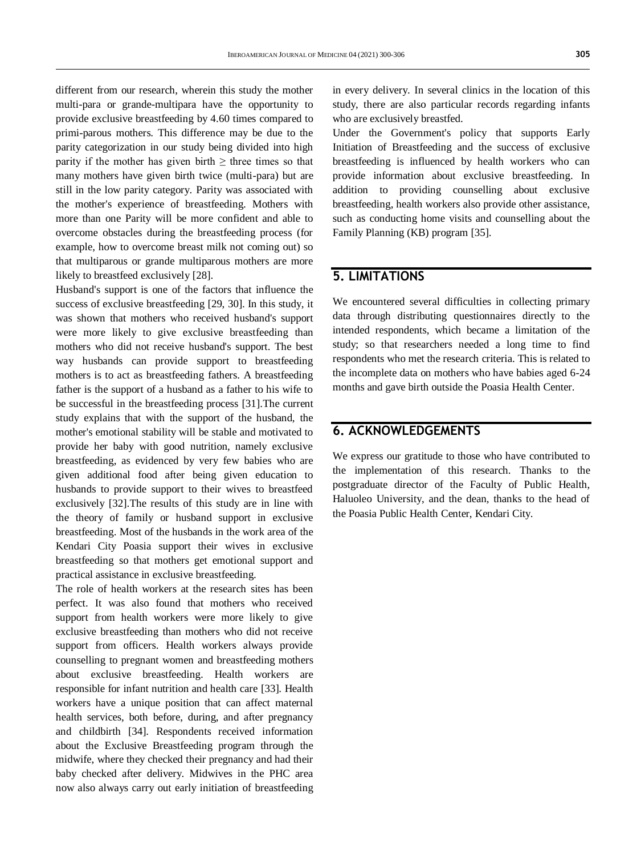different from our research, wherein this study the mother multi-para or grande-multipara have the opportunity to provide exclusive breastfeeding by 4.60 times compared to primi-parous mothers. This difference may be due to the parity categorization in our study being divided into high parity if the mother has given birth  $\geq$  three times so that many mothers have given birth twice (multi-para) but are still in the low parity category. Parity was associated with the mother's experience of breastfeeding. Mothers with more than one Parity will be more confident and able to overcome obstacles during the breastfeeding process (for example, how to overcome breast milk not coming out) so that multiparous or grande multiparous mothers are more likely to breastfeed exclusively [28].

Husband's support is one of the factors that influence the success of exclusive breastfeeding [29, 30]. In this study, it was shown that mothers who received husband's support were more likely to give exclusive breastfeeding than mothers who did not receive husband's support. The best way husbands can provide support to breastfeeding mothers is to act as breastfeeding fathers. A breastfeeding father is the support of a husband as a father to his wife to be successful in the breastfeeding process [31].The current study explains that with the support of the husband, the mother's emotional stability will be stable and motivated to provide her baby with good nutrition, namely exclusive breastfeeding, as evidenced by very few babies who are given additional food after being given education to husbands to provide support to their wives to breastfeed exclusively [32].The results of this study are in line with the theory of family or husband support in exclusive breastfeeding. Most of the husbands in the work area of the Kendari City Poasia support their wives in exclusive breastfeeding so that mothers get emotional support and practical assistance in exclusive breastfeeding.

The role of health workers at the research sites has been perfect. It was also found that mothers who received support from health workers were more likely to give exclusive breastfeeding than mothers who did not receive support from officers. Health workers always provide counselling to pregnant women and breastfeeding mothers about exclusive breastfeeding. Health workers are responsible for infant nutrition and health care [33]. Health workers have a unique position that can affect maternal health services, both before, during, and after pregnancy and childbirth [34]. Respondents received information about the Exclusive Breastfeeding program through the midwife, where they checked their pregnancy and had their baby checked after delivery. Midwives in the PHC area now also always carry out early initiation of breastfeeding

in every delivery. In several clinics in the location of this study, there are also particular records regarding infants who are exclusively breastfed.

Under the Government's policy that supports Early Initiation of Breastfeeding and the success of exclusive breastfeeding is influenced by health workers who can provide information about exclusive breastfeeding. In addition to providing counselling about exclusive breastfeeding, health workers also provide other assistance, such as conducting home visits and counselling about the Family Planning (KB) program [35].

### **5. LIMITATIONS**

We encountered several difficulties in collecting primary data through distributing questionnaires directly to the intended respondents, which became a limitation of the study; so that researchers needed a long time to find respondents who met the research criteria. This is related to the incomplete data on mothers who have babies aged 6-24 months and gave birth outside the Poasia Health Center.

### **6. ACKNOWLEDGEMENTS**

We express our gratitude to those who have contributed to the implementation of this research. Thanks to the postgraduate director of the Faculty of Public Health, Haluoleo University, and the dean, thanks to the head of the Poasia Public Health Center, Kendari City.